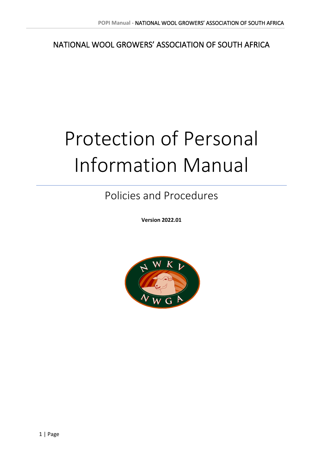NATIONAL WOOL GROWERS' ASSOCIATION OF SOUTH AFRICA

# Protection of Personal Information Manual

Policies and Procedures

**Version 2022.01**

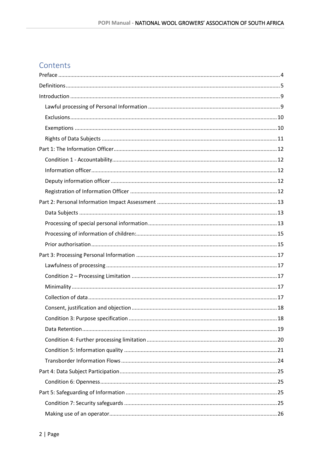### Contents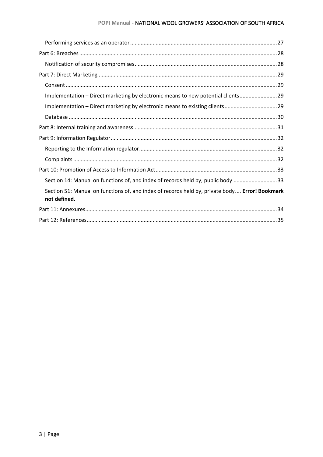| Implementation - Direct marketing by electronic means to new potential clients 29                              |  |
|----------------------------------------------------------------------------------------------------------------|--|
| Implementation - Direct marketing by electronic means to existing clients 29                                   |  |
|                                                                                                                |  |
|                                                                                                                |  |
|                                                                                                                |  |
|                                                                                                                |  |
|                                                                                                                |  |
|                                                                                                                |  |
| Section 14: Manual on functions of, and index of records held by, public body 33                               |  |
| Section 51: Manual on functions of, and index of records held by, private body Error! Bookmark<br>not defined. |  |
|                                                                                                                |  |
|                                                                                                                |  |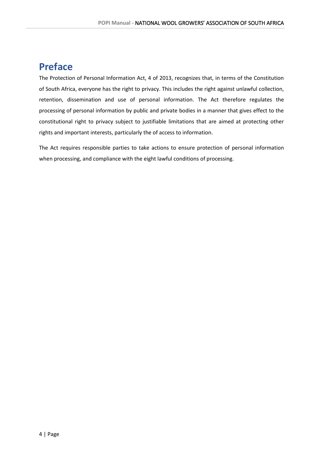### <span id="page-3-0"></span>**Preface**

The Protection of Personal Information Act, 4 of 2013, recognizes that, in terms of the Constitution of South Africa, everyone has the right to privacy. This includes the right against unlawful collection, retention, dissemination and use of personal information. The Act therefore regulates the processing of personal information by public and private bodies in a manner that gives effect to the constitutional right to privacy subject to justifiable limitations that are aimed at protecting other rights and important interests, particularly the of access to information.

The Act requires responsible parties to take actions to ensure protection of personal information when processing, and compliance with the eight lawful conditions of processing.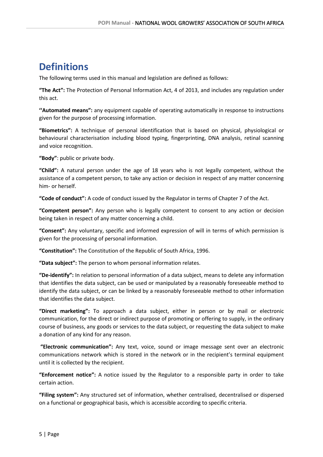### <span id="page-4-0"></span>**Definitions**

The following terms used in this manual and legislation are defined as follows:

**"The Act":** The Protection of Personal Information Act, 4 of 2013, and includes any regulation under this act.

**''Automated means":** any equipment capable of operating automatically in response to instructions given for the purpose of processing information.

**"Biometrics":** A technique of personal identification that is based on physical, physiological or behavioural characterisation including blood typing, fingerprinting, DNA analysis, retinal scanning and voice recognition.

**"Body"**: public or private body.

**"Child":** A natural person under the age of 18 years who is not legally competent, without the assistance of a competent person, to take any action or decision in respect of any matter concerning him- or herself.

**"Code of conduct":** A code of conduct issued by the Regulator in terms of Chapter 7 of the Act.

**"Competent person":** Any person who is legally competent to consent to any action or decision being taken in respect of any matter concerning a child.

**"Consent":** Any voluntary, specific and informed expression of will in terms of which permission is given for the processing of personal information.

**"Constitution":** The Constitution of the Republic of South Africa, 1996.

**"Data subject":** The person to whom personal information relates.

**"De-identify":** In relation to personal information of a data subject, means to delete any information that identifies the data subject, can be used or manipulated by a reasonably foreseeable method to identify the data subject, or can be linked by a reasonably foreseeable method to other information that identifies the data subject.

**"Direct marketing":** To approach a data subject, either in person or by mail or electronic communication, for the direct or indirect purpose of promoting or offering to supply, in the ordinary course of business, any goods or services to the data subject, or requesting the data subject to make a donation of any kind for any reason.

**"Electronic communication":** Any text, voice, sound or image message sent over an electronic communications network which is stored in the network or in the recipient's terminal equipment until it is collected by the recipient.

**"Enforcement notice":** A notice issued by the Regulator to a responsible party in order to take certain action.

**"Filing system":** Any structured set of information, whether centralised, decentralised or dispersed on a functional or geographical basis, which is accessible according to specific criteria.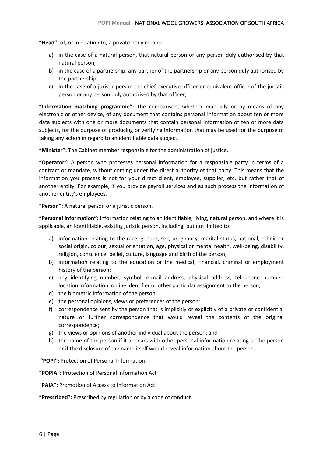**"Head":** of, or in relation to, a private body means:

- a) in the case of a natural person, that natural person or any person duly authorised by that natural person;
- b) in the case of a partnership, any partner of the partnership or any person duly authorised by the partnership;
- c) in the case of a juristic person the chief executive officer or equivalent officer of the juristic person or any person duly authorised by that officer;

**"Information matching programme":** The comparison, whether manually or by means of any electronic or other device, of any document that contains personal information about ten or more data subjects with one or more documents that contain personal information of ten or more data subjects, for the purpose of producing or verifying information that may be used for the purpose of taking any action in regard to an identifiable data subject.

**"Minister":** The Cabinet member responsible for the administration of justice.

**"Operator":** A person who processes personal information for a responsible party in terms of a contract or mandate, without coming under the direct authority of that party. This means that the information you process is not for your direct client, employee, supplier, etc. but rather that of another entity. For example, if you provide payroll services and as such process the information of another entity's employees.

**"Person":** A natural person or a juristic person.

**"Personal information":** Information relating to an identifiable, living, natural person, and where it is applicable, an identifiable, existing juristic person, including, but not limited to:

- a) information relating to the race, gender, sex, pregnancy, marital status, national, ethnic or social origin, colour, sexual orientation, age, physical or mental health, well-being, disability, religion, conscience, belief, culture, language and birth of the person;
- b) information relating to the education or the medical, financial, criminal or employment history of the person;
- c) any identifying number, symbol, e-mail address, physical address, telephone number, location information, online identifier or other particular assignment to the person;
- d) the biometric information of the person;
- e) the personal opinions, views or preferences of the person;
- f) correspondence sent by the person that is implicitly or explicitly of a private or confidential nature or further correspondence that would reveal the contents of the original correspondence;
- g) the views or opinions of another individual about the person; and
- h) the name of the person if it appears with other personal information relating to the person or if the disclosure of the name itself would reveal information about the person.

**"POPI":** Protection of Personal Information.

**"POPIA":** Protection of Personal Information Act

**"PAIA":** Promotion of Access to Information Act

**"Prescribed":** Prescribed by regulation or by a code of conduct.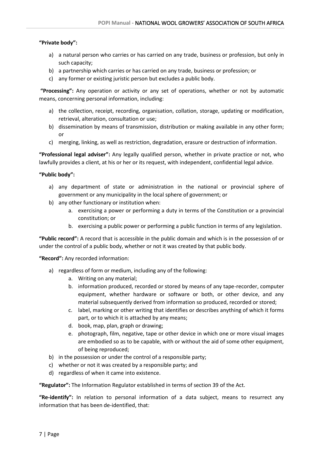#### **"Private body":**

- a) a natural person who carries or has carried on any trade, business or profession, but only in such capacity;
- b) a partnership which carries or has carried on any trade, business or profession; or
- c) any former or existing juristic person but excludes a public body.

**"Processing":** Any operation or activity or any set of operations, whether or not by automatic means, concerning personal information, including:

- a) the collection, receipt, recording, organisation, collation, storage, updating or modification, retrieval, alteration, consultation or use;
- b) dissemination by means of transmission, distribution or making available in any other form; or
- c) merging, linking, as well as restriction, degradation, erasure or destruction of information.

**"Professional legal adviser":** Any legally qualified person, whether in private practice or not, who lawfully provides a client, at his or her or its request, with independent, confidential legal advice.

#### **"Public body":**

- a) any department of state or administration in the national or provincial sphere of government or any municipality in the local sphere of government; or
- b) any other functionary or institution when:
	- a. exercising a power or performing a duty in terms of the Constitution or a provincial constitution; or
	- b. exercising a public power or performing a public function in terms of any legislation.

**"Public record":** A record that is accessible in the public domain and which is in the possession of or under the control of a public body, whether or not it was created by that public body.

**"Record":** Any recorded information:

- a) regardless of form or medium, including any of the following:
	- a. Writing on any material;
	- b. information produced, recorded or stored by means of any tape-recorder, computer equipment, whether hardware or software or both, or other device, and any material subsequently derived from information so produced, recorded or stored;
	- c. label, marking or other writing that identifies or describes anything of which it forms part, or to which it is attached by any means;
	- d. book, map, plan, graph or drawing;
	- e. photograph, film, negative, tape or other device in which one or more visual images are embodied so as to be capable, with or without the aid of some other equipment, of being reproduced;
- b) in the possession or under the control of a responsible party;
- c) whether or not it was created by a responsible party; and
- d) regardless of when it came into existence.

**"Regulator":** The Information Regulator established in terms of section 39 of the Act.

**"Re-identify":** In relation to personal information of a data subject, means to resurrect any information that has been de-identified, that: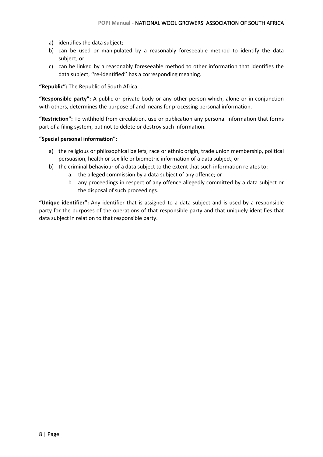- a) identifies the data subject;
- b) can be used or manipulated by a reasonably foreseeable method to identify the data subject; or
- c) can be linked by a reasonably foreseeable method to other information that identifies the data subject, ''re-identified'' has a corresponding meaning.

**"Republic":** The Republic of South Africa.

**"Responsible party":** A public or private body or any other person which, alone or in conjunction with others, determines the purpose of and means for processing personal information.

**"Restriction":** To withhold from circulation, use or publication any personal information that forms part of a filing system, but not to delete or destroy such information.

#### **"Special personal information":**

- a) the religious or philosophical beliefs, race or ethnic origin, trade union membership, political persuasion, health or sex life or biometric information of a data subject; or
- b) the criminal behaviour of a data subject to the extent that such information relates to:
	- a. the alleged commission by a data subject of any offence; or
	- b. any proceedings in respect of any offence allegedly committed by a data subject or the disposal of such proceedings.

**"Unique identifier":** Any identifier that is assigned to a data subject and is used by a responsible party for the purposes of the operations of that responsible party and that uniquely identifies that data subject in relation to that responsible party.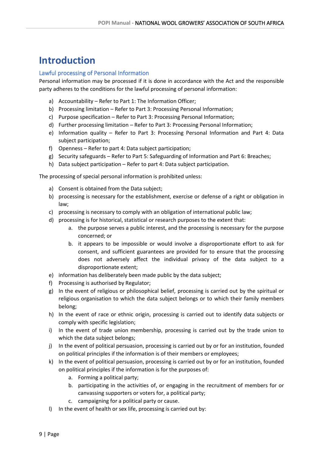### <span id="page-8-0"></span>**Introduction**

#### <span id="page-8-1"></span>Lawful processing of Personal Information

Personal information may be processed if it is done in accordance with the Act and the responsible party adheres to the conditions for the lawful processing of personal information:

- a) Accountability Refer to Part 1: The Information Officer;
- b) Processing limitation Refer to Part 3: Processing Personal Information;
- c) Purpose specification Refer to Part 3: Processing Personal Information;
- d) Further processing limitation Refer to Part 3: Processing Personal Information;
- e) Information quality Refer to Part 3: Processing Personal Information and Part 4: Data subject participation;
- f) Openness Refer to part 4: Data subject participation;
- g) Security safeguards Refer to Part 5: Safeguarding of Information and Part 6: Breaches;
- h) Data subject participation Refer to part 4: Data subject participation.

The processing of special personal information is prohibited unless:

- a) Consent is obtained from the Data subject;
- b) processing is necessary for the establishment, exercise or defense of a right or obligation in law;
- c) processing is necessary to comply with an obligation of international public law;
- d) processing is for historical, statistical or research purposes to the extent that:
	- a. the purpose serves a public interest, and the processing is necessary for the purpose concerned; or
	- b. it appears to be impossible or would involve a disproportionate effort to ask for consent, and sufficient guarantees are provided for to ensure that the processing does not adversely affect the individual privacy of the data subject to a disproportionate extent;
- e) information has deliberately been made public by the data subject;
- f) Processing is authorised by Regulator;
- g) In the event of religious or philosophical belief, processing is carried out by the spiritual or religious organisation to which the data subject belongs or to which their family members belong;
- h) In the event of race or ethnic origin, processing is carried out to identify data subjects or comply with specific legislation;
- i) In the event of trade union membership, processing is carried out by the trade union to which the data subject belongs;
- j) In the event of political persuasion, processing is carried out by or for an institution, founded on political principles if the information is of their members or employees;
- k) In the event of political persuasion, processing is carried out by or for an institution, founded on political principles if the information is for the purposes of:
	- a. Forming a political party;
	- b. participating in the activities of, or engaging in the recruitment of members for or canvassing supporters or voters for, a political party;
	- c. campaigning for a political party or cause.
- l) In the event of health or sex life, processing is carried out by: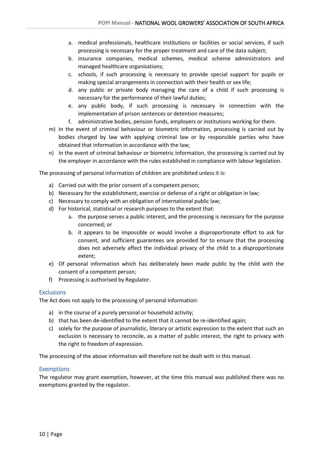- a. medical professionals, healthcare institutions or facilities or social services, if such processing is necessary for the proper treatment and care of the data subject;
- b. insurance companies, medical schemes, medical scheme administrators and managed healthcare organisations;
- c. schools, if such processing is necessary to provide special support for pupils or making special arrangements in connection with their health or sex life;
- d. any public or private body managing the care of a child if such processing is necessary for the performance of their lawful duties;
- e. any public body, if such processing is necessary in connection with the implementation of prison sentences or detention measures;
- f. administrative bodies, pension funds, employers or institutions working for them.
- m) In the event of criminal behaviour or biometric information, processing is carried out by bodies charged by law with applying criminal law or by responsible parties who have obtained that information in accordance with the law;
- n) In the event of criminal behaviour or biometric information, the processing is carried out by the employer in accordance with the rules established in compliance with labour legislation.

The processing of personal information of children are prohibited unless it is:

- a) Carried out with the prior consent of a competent person;
- b) Necessary for the establishment, exercise or defense of a right or obligation in law;
- c) Necessary to comply with an obligation of international public law;
- d) For historical, statistical or research purposes to the extent that:
	- a. the purpose serves a public interest, and the processing is necessary for the purpose concerned; or
	- b. it appears to be impossible or would involve a disproportionate effort to ask for consent, and sufficient guarantees are provided for to ensure that the processing does not adversely affect the individual privacy of the child to a disproportionate extent;
- e) Of personal information which has deliberately been made public by the child with the consent of a competent person;
- f) Processing is authorised by Regulator.

#### <span id="page-9-0"></span>**Exclusions**

The Act does not apply to the processing of personal information:

- a) in the course of a purely personal or household activity;
- b) that has been de-identified to the extent that it cannot be re-identified again;
- c) solely for the purpose of journalistic, literary or artistic expression to the extent that such an exclusion is necessary to reconcile, as a matter of public interest, the right to privacy with the right to freedom of expression.

The processing of the above information will therefore not be dealt with in this manual.

#### <span id="page-9-1"></span>**Exemptions**

The regulator may grant exemption, however, at the time this manual was published there was no exemptions granted by the regulator.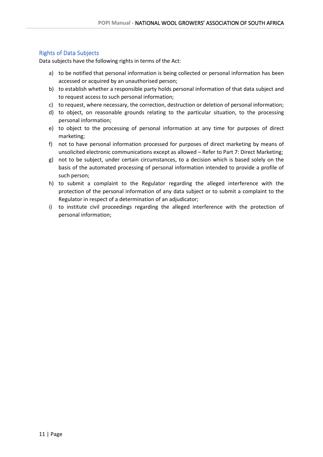#### <span id="page-10-0"></span>Rights of Data Subjects

Data subjects have the following rights in terms of the Act:

- a) to be notified that personal information is being collected or personal information has been accessed or acquired by an unauthorised person;
- b) to establish whether a responsible party holds personal information of that data subject and to request access to such personal information;
- c) to request, where necessary, the correction, destruction or deletion of personal information;
- d) to object, on reasonable grounds relating to the particular situation, to the processing personal information;
- e) to object to the processing of personal information at any time for purposes of direct marketing;
- f) not to have personal information processed for purposes of direct marketing by means of unsolicited electronic communications except as allowed – Refer to Part 7: Direct Marketing;
- g) not to be subject, under certain circumstances, to a decision which is based solely on the basis of the automated processing of personal information intended to provide a profile of such person;
- h) to submit a complaint to the Regulator regarding the alleged interference with the protection of the personal information of any data subject or to submit a complaint to the Regulator in respect of a determination of an adjudicator;
- <span id="page-10-1"></span>i) to institute civil proceedings regarding the alleged interference with the protection of personal information;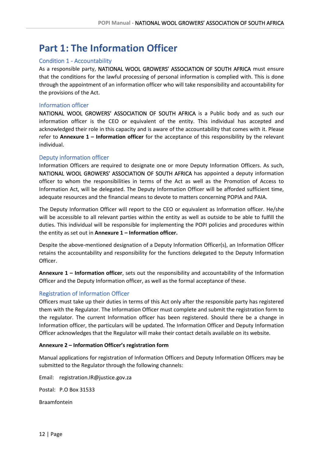# **Part 1: The Information Officer**

#### <span id="page-11-0"></span>Condition 1 - Accountability

As a responsible party, NATIONAL WOOL GROWERS' ASSOCIATION OF SOUTH AFRICA must ensure that the conditions for the lawful processing of personal information is complied with. This is done through the appointment of an information officer who will take responsibility and accountability for the provisions of the Act.

#### <span id="page-11-1"></span>Information officer

NATIONAL WOOL GROWERS' ASSOCIATION OF SOUTH AFRICA is a Public body and as such our information officer is the CEO or equivalent of the entity. This individual has accepted and acknowledged their role in this capacity and is aware of the accountability that comes with it. Please refer to **Annexure 1 – Information officer** for the acceptance of this responsibility by the relevant individual.

#### <span id="page-11-2"></span>Deputy information officer

Information Officers are required to designate one or more Deputy Information Officers. As such, NATIONAL WOOL GROWERS' ASSOCIATION OF SOUTH AFRICA has appointed a deputy information officer to whom the responsibilities in terms of the Act as well as the Promotion of Access to Information Act, will be delegated. The Deputy Information Officer will be afforded sufficient time, adequate resources and the financial means to devote to matters concerning POPIA and PAIA.

The Deputy Information Officer will report to the CEO or equivalent as Information officer. He/she will be accessible to all relevant parties within the entity as well as outside to be able to fulfill the duties. This individual will be responsible for implementing the POPI policies and procedures within the entity as set out in **Annexure 1 – Information officer.**

Despite the above-mentioned designation of a Deputy Information Officer(s), an Information Officer retains the accountability and responsibility for the functions delegated to the Deputy Information Officer.

**Annexure 1 – Information officer**, sets out the responsibility and accountability of the Information Officer and the Deputy Information officer, as well as the formal acceptance of these.

#### <span id="page-11-3"></span>Registration of Information Officer

Officers must take up their duties in terms of this Act only after the responsible party has registered them with the Regulator. The Information Officer must complete and submit the registration form to the regulator. The current Information officer has been registered. Should there be a change in Information officer, the particulars will be updated. The Information Officer and Deputy Information Officer acknowledges that the Regulator will make their contact details available on its website.

#### **Annexure 2 – Information Officer's registration form**

Manual applications for registration of Information Officers and Deputy Information Officers may be submitted to the Regulator through the following channels:

Email: registration.IR@justice.gov.za Postal: P.O Box 31533 Braamfontein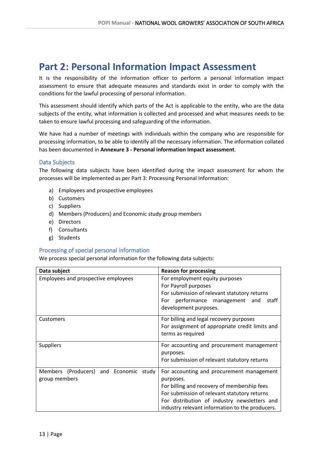### <span id="page-12-0"></span>**Part 2: Personal Information Impact Assessment**

It is the responsibility of the information officer to perform a personal information impact assessment to ensure that adequate measures and standards exist in order to comply with the conditions for the lawful processing of personal information.

This assessment should identify which parts of the Act is applicable to the entity, who are the data subjects of the entity, what information is collected and processed and what measures needs to be taken to ensure lawful processing and safeguarding of the information.

We have had a number of meetings with individuals within the company who are responsible for processing information, to be able to identify all the necessary information. The information collated has been documented in **Annexure 3 - Personal information Impact assessment**.

#### <span id="page-12-1"></span>Data Subjects

The following data subjects have been identified during the impact assessment for whom the processes will be implemented as per Part 3: Processing Personal Information:

- a) Employees and prospective employees
- b) Customers
- c) Suppliers
- d) Members (Producers) and Economic study group members
- e) Directors
- f) Consultants
- g) Students

#### <span id="page-12-2"></span>Processing of special personal information

We process special personal information for the following data subjects:

| Data subject                                            | <b>Reason for processing</b>                                                                                                                                                                                                                             |
|---------------------------------------------------------|----------------------------------------------------------------------------------------------------------------------------------------------------------------------------------------------------------------------------------------------------------|
| Employees and prospective employees                     | For employment equity purposes<br>For Payroll purposes<br>For submission of relevant statutory returns<br>performance management and<br>staff<br>For<br>development purposes.                                                                            |
| <b>Customers</b>                                        | For billing and legal recovery purposes<br>For assignment of appropriate credit limits and<br>terms as required                                                                                                                                          |
| <b>Suppliers</b>                                        | For accounting and procurement management<br>purposes.<br>For submission of relevant statutory returns                                                                                                                                                   |
| Members (Producers) and Economic study<br>group members | For accounting and procurement management<br>purposes.<br>For billing and recovery of membership fees<br>For submission of relevant statutory returns<br>For distribution of industry newsletters and<br>industry relevant information to the producers. |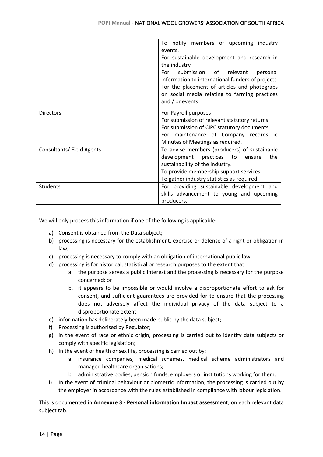|                          | To notify members of upcoming industry           |
|--------------------------|--------------------------------------------------|
|                          | events.                                          |
|                          |                                                  |
|                          | For sustainable development and research in      |
|                          | the industry                                     |
|                          | submission of relevant<br>For<br>personal        |
|                          | information to international funders of projects |
|                          | For the placement of articles and photograps     |
|                          | on social media relating to farming practices    |
|                          | and / or events                                  |
|                          |                                                  |
| <b>Directors</b>         | For Payroll purposes                             |
|                          | For submission of relevant statutory returns     |
|                          | For submission of CIPC statutory documents       |
|                          | For maintenance of Company records ie            |
|                          | Minutes of Meetings as required.                 |
| Consultants/Field Agents | To advise members (producers) of sustainable     |
|                          | development<br>practices to<br>the<br>ensure     |
|                          | sustainability of the industry.                  |
|                          | To provide membership support services.          |
|                          | To gather industry statistics as required.       |
| <b>Students</b>          | For providing sustainable development and        |
|                          | skills advancement to young and upcoming         |
|                          | producers.                                       |

We will only process this information if one of the following is applicable:

- a) Consent is obtained from the Data subject;
- b) processing is necessary for the establishment, exercise or defense of a right or obligation in law;
- c) processing is necessary to comply with an obligation of international public law;
- d) processing is for historical, statistical or research purposes to the extent that:
	- a. the purpose serves a public interest and the processing is necessary for the purpose concerned; or
	- b. it appears to be impossible or would involve a disproportionate effort to ask for consent, and sufficient guarantees are provided for to ensure that the processing does not adversely affect the individual privacy of the data subject to a disproportionate extent;
- e) information has deliberately been made public by the data subject;
- f) Processing is authorised by Regulator;
- g) in the event of race or ethnic origin, processing is carried out to identify data subjects or comply with specific legislation;
- h) In the event of health or sex life, processing is carried out by:
	- a. insurance companies, medical schemes, medical scheme administrators and managed healthcare organisations;
	- b. administrative bodies, pension funds, employers or institutions working for them.
- i) In the event of criminal behaviour or biometric information, the processing is carried out by the employer in accordance with the rules established in compliance with labour legislation.

This is documented in **Annexure 3 - Personal information Impact assessment**, on each relevant data subject tab.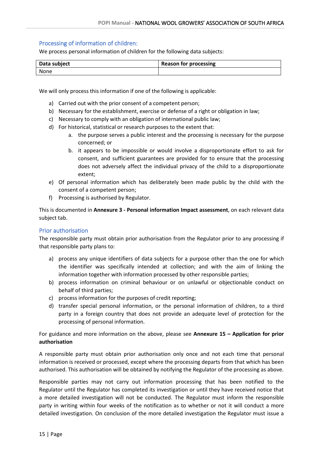#### <span id="page-14-0"></span>Processing of information of children:

We process personal information of children for the following data subjects:

| Data subject | <b>Reason for processing</b> |
|--------------|------------------------------|
| None         |                              |

We will only process this information if one of the following is applicable:

- a) Carried out with the prior consent of a competent person;
- b) Necessary for the establishment, exercise or defense of a right or obligation in law;
- c) Necessary to comply with an obligation of international public law;
- d) For historical, statistical or research purposes to the extent that:
	- a. the purpose serves a public interest and the processing is necessary for the purpose concerned; or
	- b. it appears to be impossible or would involve a disproportionate effort to ask for consent, and sufficient guarantees are provided for to ensure that the processing does not adversely affect the individual privacy of the child to a disproportionate extent;
- e) Of personal information which has deliberately been made public by the child with the consent of a competent person;
- f) Processing is authorised by Regulator.

This is documented in **Annexure 3 - Personal information Impact assessment**, on each relevant data subject tab.

#### <span id="page-14-1"></span>Prior authorisation

The responsible party must obtain prior authorisation from the Regulator prior to any processing if that responsible party plans to:

- a) process any unique identifiers of data subjects for a purpose other than the one for which the identifier was specifically intended at collection; and with the aim of linking the information together with information processed by other responsible parties;
- b) process information on criminal behaviour or on unlawful or objectionable conduct on behalf of third parties;
- c) process information for the purposes of credit reporting;
- d) transfer special personal information, or the personal information of children, to a third party in a foreign country that does not provide an adequate level of protection for the processing of personal information.

For guidance and more information on the above, please see **Annexure 15 – Application for prior authorisation**

A responsible party must obtain prior authorisation only once and not each time that personal information is received or processed, except where the processing departs from that which has been authorised. This authorisation will be obtained by notifying the Regulator of the processing as above.

Responsible parties may not carry out information processing that has been notified to the Regulator until the Regulator has completed its investigation or until they have received notice that a more detailed investigation will not be conducted. The Regulator must inform the responsible party in writing within four weeks of the notification as to whether or not it will conduct a more detailed investigation. On conclusion of the more detailed investigation the Regulator must issue a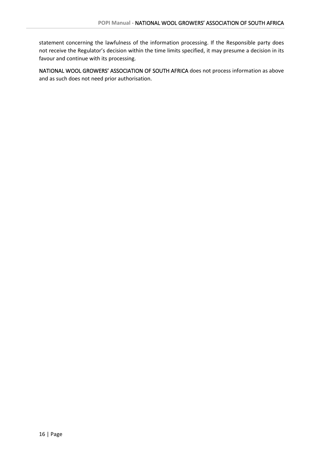statement concerning the lawfulness of the information processing. If the Responsible party does not receive the Regulator's decision within the time limits specified, it may presume a decision in its favour and continue with its processing.

NATIONAL WOOL GROWERS' ASSOCIATION OF SOUTH AFRICA does not process information as above and as such does not need prior authorisation.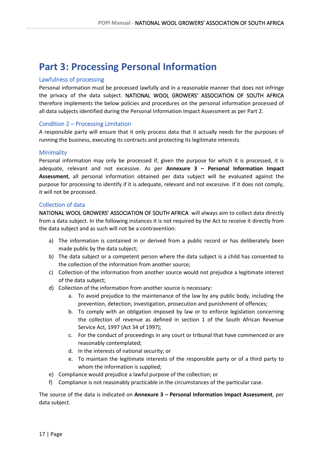### <span id="page-16-0"></span>**Part 3: Processing Personal Information**

#### <span id="page-16-1"></span>Lawfulness of processing

Personal information must be processed lawfully and in a reasonable manner that does not infringe the privacy of the data subject. NATIONAL WOOL GROWERS' ASSOCIATION OF SOUTH AFRICA therefore implements the below policies and procedures on the personal information processed of all data subjects identified during the Personal Information Impact Assessment as per Part 2.

#### <span id="page-16-2"></span>Condition 2 – Processing Limitation

A responsible party will ensure that it only process data that it actually needs for the purposes of running the business, executing its contracts and protecting its legitimate interests.

#### <span id="page-16-3"></span>Minimality

Personal information may only be processed if, given the purpose for which it is processed, it is adequate, relevant and not excessive. As per **Annexure 3 – Personal Information Impact Assessment**, all personal information obtained per data subject will be evaluated against the purpose for processing to identify if it is adequate, relevant and not excessive. If it does not comply, it will not be processed.

#### <span id="page-16-4"></span>Collection of data

NATIONAL WOOL GROWERS' ASSOCIATION OF SOUTH AFRICA will always aim to collect data directly from a data subject. In the following instances it is not required by the Act to receive it directly from the data subject and as such will not be a contravention:

- a) The information is contained in or derived from a public record or has deliberately been made public by the data subject;
- b) The data subject or a competent person where the data subject is a child has consented to the collection of the information from another source;
- c) Collection of the information from another source would not prejudice a legitimate interest of the data subject;
- d) Collection of the information from another source is necessary:
	- a. To avoid prejudice to the maintenance of the law by any public body, including the prevention, detection, investigation, prosecution and punishment of offences;
	- b. To comply with an obligation imposed by law or to enforce legislation concerning the collection of revenue as defined in section 1 of the South African Revenue Service Act, 1997 (Act 34 of 1997);
	- c. For the conduct of proceedings in any court or tribunal that have commenced or are reasonably contemplated;
	- d. In the interests of national security; or
	- e. To maintain the legitimate interests of the responsible party or of a third party to whom the information is supplied;
- e) Compliance would prejudice a lawful purpose of the collection; or
- f) Compliance is not reasonably practicable in the circumstances of the particular case.

The source of the data is indicated on **Annexure 3 – Personal Information Impact Assessment**, per data subject.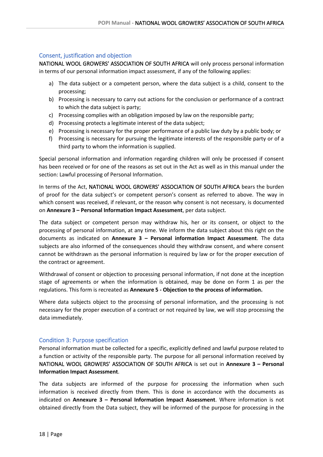#### <span id="page-17-0"></span>Consent, justification and objection

NATIONAL WOOL GROWERS' ASSOCIATION OF SOUTH AFRICA will only process personal information in terms of our personal information impact assessment, if any of the following applies:

- a) The data subject or a competent person, where the data subject is a child, consent to the processing;
- b) Processing is necessary to carry out actions for the conclusion or performance of a contract to which the data subject is party;
- c) Processing complies with an obligation imposed by law on the responsible party;
- d) Processing protects a legitimate interest of the data subject;
- e) Processing is necessary for the proper performance of a public law duty by a public body; or
- f) Processing is necessary for pursuing the legitimate interests of the responsible party or of a third party to whom the information is supplied.

Special personal information and information regarding children will only be processed if consent has been received or for one of the reasons as set out in the Act as well as in this manual under the section: Lawful processing of Personal Information.

In terms of the Act, NATIONAL WOOL GROWERS' ASSOCIATION OF SOUTH AFRICA bears the burden of proof for the data subject's or competent person's consent as referred to above. The way in which consent was received, if relevant, or the reason why consent is not necessary, is documented on **Annexure 3 – Personal Information Impact Assessment**, per data subject.

The data subject or competent person may withdraw his, her or its consent, or object to the processing of personal information, at any time. We inform the data subject about this right on the documents as indicated on **Annexure 3 – Personal information Impact Assessment**. The data subjects are also informed of the consequences should they withdraw consent, and where consent cannot be withdrawn as the personal information is required by law or for the proper execution of the contract or agreement.

Withdrawal of consent or objection to processing personal information, if not done at the inception stage of agreements or when the information is obtained, may be done on Form 1 as per the regulations. This form is recreated as **Annexure 5 - Objection to the process of information.**

Where data subjects object to the processing of personal information, and the processing is not necessary for the proper execution of a contract or not required by law, we will stop processing the data immediately.

#### <span id="page-17-1"></span>Condition 3: Purpose specification

Personal information must be collected for a specific, explicitly defined and lawful purpose related to a function or activity of the responsible party. The purpose for all personal information received by NATIONAL WOOL GROWERS' ASSOCIATION OF SOUTH AFRICA is set out in **Annexure 3 – Personal Information Impact Assessment**.

The data subjects are informed of the purpose for processing the information when such information is received directly from them. This is done in accordance with the documents as indicated on **Annexure 3 – Personal Information Impact Assessment**. Where information is not obtained directly from the Data subject, they will be informed of the purpose for processing in the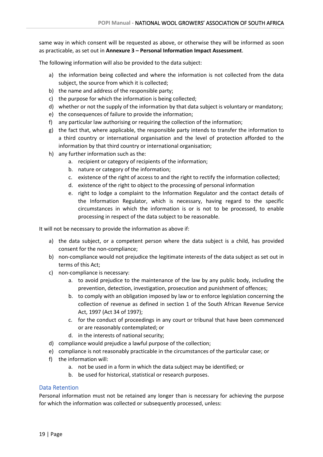same way in which consent will be requested as above, or otherwise they will be informed as soon as practicable, as set out in **Annexure 3 – Personal Information Impact Assessment**.

The following information will also be provided to the data subject:

- a) the information being collected and where the information is not collected from the data subject, the source from which it is collected;
- b) the name and address of the responsible party;
- c) the purpose for which the information is being collected;
- d) whether or not the supply of the information by that data subject is voluntary or mandatory;
- e) the consequences of failure to provide the information;
- f) any particular law authorising or requiring the collection of the information;
- g) the fact that, where applicable, the responsible party intends to transfer the information to a third country or international organisation and the level of protection afforded to the information by that third country or international organisation;
- h) any further information such as the:
	- a. recipient or category of recipients of the information;
	- b. nature or category of the information;
	- c. existence of the right of access to and the right to rectify the information collected;
	- d. existence of the right to object to the processing of personal information
	- e. right to lodge a complaint to the Information Regulator and the contact details of the Information Regulator, which is necessary, having regard to the specific circumstances in which the information is or is not to be processed, to enable processing in respect of the data subject to be reasonable.

It will not be necessary to provide the information as above if:

- a) the data subject, or a competent person where the data subject is a child, has provided consent for the non-compliance;
- b) non-compliance would not prejudice the legitimate interests of the data subject as set out in terms of this Act;
- c) non-compliance is necessary:
	- a. to avoid prejudice to the maintenance of the law by any public body, including the prevention, detection, investigation, prosecution and punishment of offences;
	- b. to comply with an obligation imposed by law or to enforce legislation concerning the collection of revenue as defined in section 1 of the South African Revenue Service Act, 1997 (Act 34 of 1997);
	- c. for the conduct of proceedings in any court or tribunal that have been commenced or are reasonably contemplated; or
	- d. in the interests of national security;
- d) compliance would prejudice a lawful purpose of the collection;
- e) compliance is not reasonably practicable in the circumstances of the particular case; or
- f) the information will:
	- a. not be used in a form in which the data subject may be identified; or
	- b. be used for historical, statistical or research purposes.

#### <span id="page-18-0"></span>Data Retention

Personal information must not be retained any longer than is necessary for achieving the purpose for which the information was collected or subsequently processed, unless: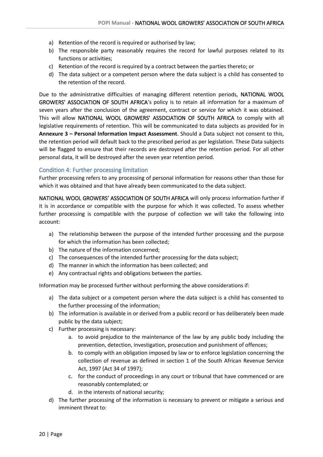- a) Retention of the record is required or authorised by law;
- b) The responsible party reasonably requires the record for lawful purposes related to its functions or activities;
- c) Retention of the record is required by a contract between the parties thereto; or
- d) The data subject or a competent person where the data subject is a child has consented to the retention of the record.

Due to the administrative difficulties of managing different retention periods, NATIONAL WOOL GROWERS' ASSOCIATION OF SOUTH AFRICA's policy is to retain all information for a maximum of seven years after the conclusion of the agreement, contract or service for which it was obtained. This will allow NATIONAL WOOL GROWERS' ASSOCIATION OF SOUTH AFRICA to comply with all legislative requirements of retention. This will be communicated to data subjects as provided for in **Annexure 3 – Personal Information Impact Assessment**. Should a Data subject not consent to this, the retention period will default back to the prescribed period as per legislation. These Data subjects will be flagged to ensure that their records are destroyed after the retention period. For all other personal data, it will be destroyed after the seven year retention period.

#### <span id="page-19-0"></span>Condition 4: Further processing limitation

Further processing refers to any processing of personal information for reasons other than those for which it was obtained and that have already been communicated to the data subject.

NATIONAL WOOL GROWERS' ASSOCIATION OF SOUTH AFRICA will only process information further if it is in accordance or compatible with the purpose for which it was collected. To assess whether further processing is compatible with the purpose of collection we will take the following into account:

- a) The relationship between the purpose of the intended further processing and the purpose for which the information has been collected;
- b) The nature of the information concerned;
- c) The consequences of the intended further processing for the data subject;
- d) The manner in which the information has been collected; and
- e) Any contractual rights and obligations between the parties.

Information may be processed further without performing the above considerations if:

- a) The data subject or a competent person where the data subject is a child has consented to the further processing of the information;
- b) The information is available in or derived from a public record or has deliberately been made public by the data subject;
- c) Further processing is necessary:
	- a. to avoid prejudice to the maintenance of the law by any public body including the prevention, detection, investigation, prosecution and punishment of offences;
	- b. to comply with an obligation imposed by law or to enforce legislation concerning the collection of revenue as defined in section 1 of the South African Revenue Service Act, 1997 (Act 34 of 1997);
	- c. for the conduct of proceedings in any court or tribunal that have commenced or are reasonably contemplated; or
	- d. in the interests of national security;
- d) The further processing of the information is necessary to prevent or mitigate a serious and imminent threat to: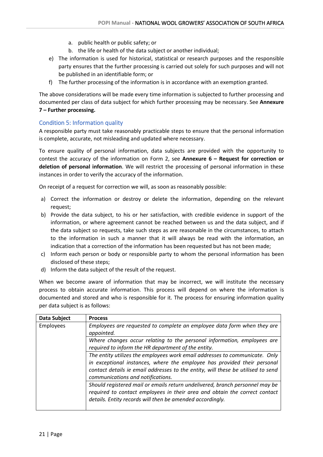- a. public health or public safety; or
- b. the life or health of the data subject or another individual;
- e) The information is used for historical, statistical or research purposes and the responsible party ensures that the further processing is carried out solely for such purposes and will not be published in an identifiable form; or
- f) The further processing of the information is in accordance with an exemption granted.

The above considerations will be made every time information is subjected to further processing and documented per class of data subject for which further processing may be necessary. See **Annexure 7 – Further processing.**

#### <span id="page-20-0"></span>Condition 5: Information quality

A responsible party must take reasonably practicable steps to ensure that the personal information is complete, accurate, not misleading and updated where necessary.

To ensure quality of personal information, data subjects are provided with the opportunity to contest the accuracy of the information on Form 2, see **Annexure 6 – Request for correction or deletion of personal information**. We will restrict the processing of personal information in these instances in order to verify the accuracy of the information.

On receipt of a request for correction we will, as soon as reasonably possible:

- a) Correct the information or destroy or delete the information, depending on the relevant request;
- b) Provide the data subject, to his or her satisfaction, with credible evidence in support of the information, or where agreement cannot be reached between us and the data subject, and if the data subject so requests, take such steps as are reasonable in the circumstances, to attach to the information in such a manner that it will always be read with the information, an indication that a correction of the information has been requested but has not been made;
- c) Inform each person or body or responsible party to whom the personal information has been disclosed of these steps;
- d) Inform the data subject of the result of the request.

When we become aware of information that may be incorrect, we will institute the necessary process to obtain accurate information. This process will depend on where the information is documented and stored and who is responsible for it. The process for ensuring information quality per data subject is as follows:

| Data Subject     | <b>Process</b>                                                                   |
|------------------|----------------------------------------------------------------------------------|
| <b>Employees</b> | Employees are requested to complete an employee data form when they are          |
|                  | appointed.                                                                       |
|                  | Where changes occur relating to the personal information, employees are          |
|                  | required to inform the HR department of the entity.                              |
|                  | The entity utilizes the employees work email addresses to communicate. Only      |
|                  | in exceptional instances, where the employee has provided their personal         |
|                  | contact details ie email addresses to the entity, will these be utilised to send |
|                  | communications and notifications.                                                |
|                  | Should registered mail or emails return undelivered, branch personnel may be     |
|                  | required to contact employees in their area and obtain the correct contact       |
|                  | details. Entity records will then be amended accordingly.                        |
|                  |                                                                                  |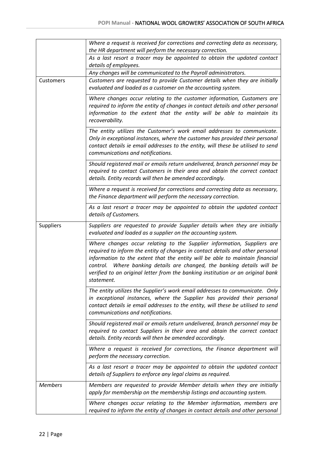|                | Where a request is received for corrections and correcting data as necessary,<br>the HR department will perform the necessary correction.                                                                                                                                                                                                                                                                             |
|----------------|-----------------------------------------------------------------------------------------------------------------------------------------------------------------------------------------------------------------------------------------------------------------------------------------------------------------------------------------------------------------------------------------------------------------------|
|                | As a last resort a tracer may be appointed to obtain the updated contact                                                                                                                                                                                                                                                                                                                                              |
|                | details of employees.                                                                                                                                                                                                                                                                                                                                                                                                 |
|                | Any changes will be communicated to the Payroll administrators.                                                                                                                                                                                                                                                                                                                                                       |
| Customers      | Customers are requested to provide Customer details when they are initially<br>evaluated and loaded as a customer on the accounting system.                                                                                                                                                                                                                                                                           |
|                | Where changes occur relating to the customer information, Customers are<br>required to inform the entity of changes in contact details and other personal<br>information to the extent that the entity will be able to maintain its<br>recoverability.                                                                                                                                                                |
|                | The entity utilizes the Customer's work email addresses to communicate.<br>Only in exceptional instances, where the customer has provided their personal<br>contact details ie email addresses to the entity, will these be utilised to send<br>communications and notifications.                                                                                                                                     |
|                | Should registered mail or emails return undelivered, branch personnel may be<br>required to contact Customers in their area and obtain the correct contact<br>details. Entity records will then be amended accordingly.                                                                                                                                                                                               |
|                | Where a request is received for corrections and correcting data as necessary,<br>the Finance department will perform the necessary correction.                                                                                                                                                                                                                                                                        |
|                | As a last resort a tracer may be appointed to obtain the updated contact<br>details of Customers.                                                                                                                                                                                                                                                                                                                     |
| Suppliers      | Suppliers are requested to provide Supplier details when they are initially<br>evaluated and loaded as a supplier on the accounting system.                                                                                                                                                                                                                                                                           |
|                | Where changes occur relating to the Supplier information, Suppliers are<br>required to inform the entity of changes in contact details and other personal<br>information to the extent that the entity will be able to maintain financial<br>control. Where banking details are changed, the banking details will be<br>verified to an original letter from the banking institution or an original bank<br>statement. |
|                | The entity utilizes the Supplier's work email addresses to communicate. Only<br>in exceptional instances, where the Supplier has provided their personal<br>contact details ie email addresses to the entity, will these be utilised to send<br>communications and notifications.                                                                                                                                     |
|                | Should registered mail or emails return undelivered, branch personnel may be<br>required to contact Suppliers in their area and obtain the correct contact<br>details. Entity records will then be amended accordingly.                                                                                                                                                                                               |
|                | Where a request is received for corrections, the Finance department will<br>perform the necessary correction.                                                                                                                                                                                                                                                                                                         |
|                | As a last resort a tracer may be appointed to obtain the updated contact<br>details of Suppliers to enforce any legal claims as required.                                                                                                                                                                                                                                                                             |
| <b>Members</b> | Members are requested to provide Member details when they are initially<br>apply for membership on the membership listings and accounting system.                                                                                                                                                                                                                                                                     |
|                | Where changes occur relating to the Member information, members are<br>required to inform the entity of changes in contact details and other personal                                                                                                                                                                                                                                                                 |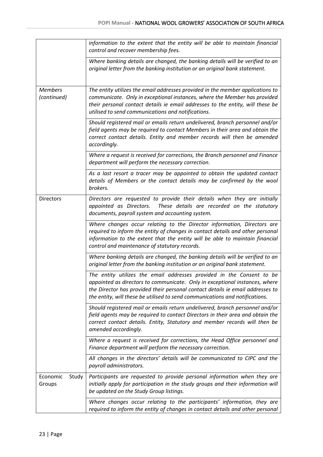|                               | information to the extent that the entity will be able to maintain financial<br>control and recover membership fees.                                                                                                                                                                                                   |  |
|-------------------------------|------------------------------------------------------------------------------------------------------------------------------------------------------------------------------------------------------------------------------------------------------------------------------------------------------------------------|--|
|                               | Where banking details are changed, the banking details will be verified to an<br>original letter from the banking institution or an original bank statement.                                                                                                                                                           |  |
| <b>Members</b><br>(continued) | The entity utilizes the email addresses provided in the member applications to<br>communicate. Only in exceptional instances, where the Member has provided<br>their personal contact details ie email addresses to the entity, will these be<br>utilised to send communications and notifications.                    |  |
|                               | Should registered mail or emails return undelivered, branch personnel and/or<br>field agents may be required to contact Members in their area and obtain the<br>correct contact details. Entity and member records will then be amended<br>accordingly.                                                                |  |
|                               | Where a request is received for corrections, the Branch personnel and Finance<br>department will perform the necessary correction.                                                                                                                                                                                     |  |
|                               | As a last resort a tracer may be appointed to obtain the updated contact<br>details of Members or the contact details may be confirmed by the wool<br>brokers.                                                                                                                                                         |  |
| <b>Directors</b>              | Directors are requested to provide their details when they are initially<br>These details are recorded on the statutory<br>appointed as Directors.<br>documents, payroll system and accounting system.                                                                                                                 |  |
|                               | Where changes occur relating to the Director information, Directors are<br>required to inform the entity of changes in contact details and other personal<br>information to the extent that the entity will be able to maintain financial<br>control and maintenance of statutory records.                             |  |
|                               | Where banking details are changed, the banking details will be verified to an<br>original letter from the banking institution or an original bank statement.                                                                                                                                                           |  |
|                               | The entity utilizes the email addresses provided in the Consent to be<br>appointed as directors to communicate. Only in exceptional instances, where<br>the Director has provided their personal contact details ie email addresses to<br>the entity, will these be utilised to send communications and notifications. |  |
|                               | Should registered mail or emails return undelivered, branch personnel and/or<br>field agents may be required to contact Directors in their area and obtain the<br>correct contact details. Entity, Statutory and member records will then be<br>amended accordingly.                                                   |  |
|                               | Where a request is received for corrections, the Head Office personnel and<br>Finance department will perform the necessary correction.                                                                                                                                                                                |  |
|                               | All changes in the directors' details will be communicated to CIPC and the<br>payroll administrators.                                                                                                                                                                                                                  |  |
| Economic<br>Study<br>Groups   | Participants are requested to provide personal information when they are<br>initially apply for participation in the study groups and their information will<br>be updated on the Study Group listings.                                                                                                                |  |
|                               | Where changes occur relating to the participants' information, they are<br>required to inform the entity of changes in contact details and other personal                                                                                                                                                              |  |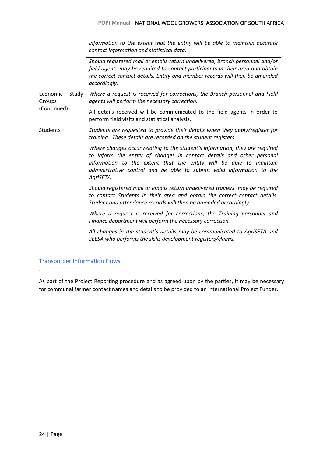|                                            | information to the extent that the entity will be able to maintain accurate<br>contact information and statistical data.                                                                                                                                                                                          |
|--------------------------------------------|-------------------------------------------------------------------------------------------------------------------------------------------------------------------------------------------------------------------------------------------------------------------------------------------------------------------|
|                                            | Should registered mail or emails return undelivered, branch personnel and/or<br>field agents may be required to contact participants in their area and obtain<br>the correct contact details. Entity and member records will then be amended<br>accordingly.                                                      |
| Economic<br>Study<br>Groups<br>(Continued) | Where a request is received for corrections, the Branch personnel and Field<br>agents will perform the necessary correction.                                                                                                                                                                                      |
|                                            | All details received will be communicated to the field agents in order to<br>perform field visits and statistical analysis.                                                                                                                                                                                       |
| <b>Students</b>                            | Students are requested to provide their details when they apply/register for<br>training. These details are recorded on the student registers.                                                                                                                                                                    |
|                                            | Where changes occur relating to the student's information, they are required<br>to inform the entity of changes in contact details and other personal<br>information to the extent that the entity will be able to maintain<br>administrative control and be able to submit valid information to the<br>AgriSETA. |
|                                            | Should registered mail or emails return undelivered trainers may be required<br>to contact Students in their area and obtain the correct contact details.<br>Student and attendance records will then be amended accordingly.                                                                                     |
|                                            | Where a request is received for corrections, the Training personnel and<br>Finance department will perform the necessary correction.                                                                                                                                                                              |
|                                            | All changes in the student's details may be communicated to AgriSETA and<br>SEESA who performs the skills development registers/claims.                                                                                                                                                                           |

#### <span id="page-23-0"></span>Transborder Information Flows

.

As part of the Project Reporting procedure and as agreed upon by the parties, it may be necessary for communal farmer contact names and details to be provided to an international Project Funder.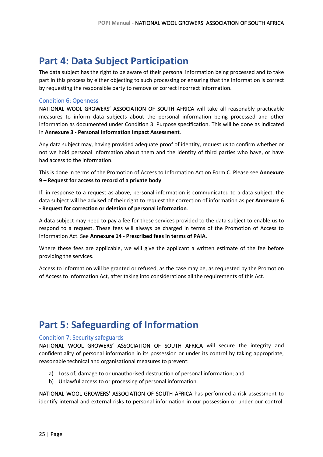### <span id="page-24-0"></span>**Part 4: Data Subject Participation**

The data subject has the right to be aware of their personal information being processed and to take part in this process by either objecting to such processing or ensuring that the information is correct by requesting the responsible party to remove or correct incorrect information.

#### <span id="page-24-1"></span>Condition 6: Openness

NATIONAL WOOL GROWERS' ASSOCIATION OF SOUTH AFRICA will take all reasonably practicable measures to inform data subjects about the personal information being processed and other information as documented under Condition 3: Purpose specification. This will be done as indicated in **Annexure 3 - Personal Information Impact Assessment**.

Any data subject may, having provided adequate proof of identity, request us to confirm whether or not we hold personal information about them and the identity of third parties who have, or have had access to the information.

This is done in terms of the Promotion of Access to Information Act on Form C. Please see **Annexure 9 – Request for access to record of a private body**.

If, in response to a request as above, personal information is communicated to a data subject, the data subject will be advised of their right to request the correction of information as per **Annexure 6 - Request for correction or deletion of personal information**.

A data subject may need to pay a fee for these services provided to the data subject to enable us to respond to a request. These fees will always be charged in terms of the Promotion of Access to information Act. See **Annexure 14 - Prescribed fees in terms of PAIA**.

Where these fees are applicable, we will give the applicant a written estimate of the fee before providing the services.

Access to information will be granted or refused, as the case may be, as requested by the Promotion of Access to Information Act, after taking into considerations all the requirements of this Act.

### <span id="page-24-2"></span>**Part 5: Safeguarding of Information**

#### <span id="page-24-3"></span>Condition 7: Security safeguards

NATIONAL WOOL GROWERS' ASSOCIATION OF SOUTH AFRICA will secure the integrity and confidentiality of personal information in its possession or under its control by taking appropriate, reasonable technical and organisational measures to prevent:

- a) Loss of, damage to or unauthorised destruction of personal information; and
- b) Unlawful access to or processing of personal information.

NATIONAL WOOL GROWERS' ASSOCIATION OF SOUTH AFRICA has performed a risk assessment to identify internal and external risks to personal information in our possession or under our control.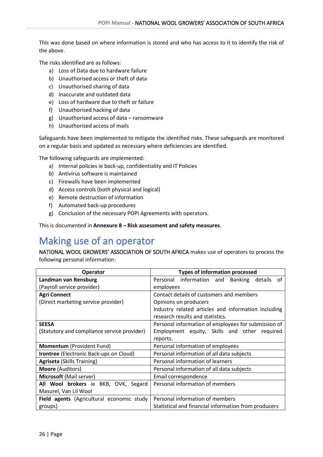This was done based on where information is stored and who has access to it to identify the risk of the above.

The risks identified are as follows:

- a) Loss of Data due to hardware failure
- b) Unauthorised access or theft of data
- c) Unauthorised sharing of data
- d) Inaccurate and outdated data
- e) Loss of hardware due to theft or failure
- f) Unauthorised hacking of data
- g) Unauthorised access of data ransomware
- h) Unauthorised access of mails

Safeguards have been implemented to mitigate the identified risks. These safeguards are monitored on a regular basis and updated as necessary where deficiencies are identified.

The following safeguards are implemented:

- a) Internal policies ie back-up, confidentiality and IT Policies
- b) Antivirus software is maintained
- c) Firewalls have been implemented
- d) Access controls (both physical and logical)
- e) Remote destruction of information
- f) Automated back-up procedures
- g) Conclusion of the necessary POPI Agreements with operators.

This is documented in **Annexure 8 – Risk assessment and safety measures**.

# <span id="page-25-0"></span>Making use of an operator

NATIONAL WOOL GROWERS' ASSOCIATION OF SOUTH AFRICA makes use of operators to process the following personal information:

| <b>Operator</b>                                | <b>Types of information processed</b>                       |
|------------------------------------------------|-------------------------------------------------------------|
| Landman van Rensburg                           | Personal information and<br><b>Banking</b><br>details<br>of |
| (Payroll service provider)                     | employees                                                   |
| <b>Agri Connect</b>                            | Contact details of customers and members                    |
| (Direct marketing service provider)            | Opinions on producers                                       |
|                                                | Industry related articles and information including         |
|                                                | research results and statistics.                            |
| <b>SEESA</b>                                   | Personal information of employees for submission of         |
| (Statutory and compliance service provider)    | Employment equity, Skills and other required                |
|                                                | reports.                                                    |
| Momentum (Provident Fund)                      | Personal information of employees                           |
| <b>Irontree</b> (Electronic Back-ups on Cloud) | Personal information of all data subjects                   |
| <b>Agriseta</b> (Skills Training)              | Personal information of learners                            |
| <b>Moore</b> (Auditors)                        | Personal information of all data subjects                   |
| <b>Microsoft</b> (Mail server)                 | Email correspondence                                        |
| All Wool brokers ie BKB, OVK, Segard           | Personal information of members                             |
| Masurel, Van Lil Wool                          |                                                             |
| Field agents (Agricultural economic study      | Personal information of members                             |
| groups)                                        | Statistical and financial information from producers        |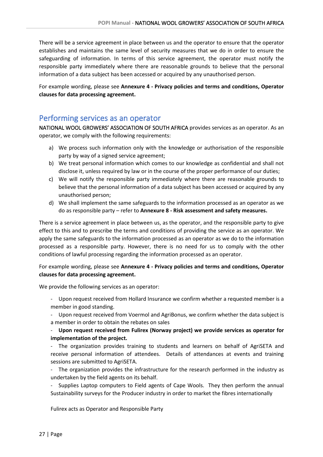There will be a service agreement in place between us and the operator to ensure that the operator establishes and maintains the same level of security measures that we do in order to ensure the safeguarding of information. In terms of this service agreement, the operator must notify the responsible party immediately where there are reasonable grounds to believe that the personal information of a data subject has been accessed or acquired by any unauthorised person.

For example wording, please see **Annexure 4 - Privacy policies and terms and conditions, Operator clauses for data processing agreement.**

#### <span id="page-26-0"></span>Performing services as an operator

NATIONAL WOOL GROWERS' ASSOCIATION OF SOUTH AFRICA provides services as an operator. As an operator, we comply with the following requirements:

- a) We process such information only with the knowledge or authorisation of the responsible party by way of a signed service agreement;
- b) We treat personal information which comes to our knowledge as confidential and shall not disclose it, unless required by law or in the course of the proper performance of our duties;
- c) We will notify the responsible party immediately where there are reasonable grounds to believe that the personal information of a data subject has been accessed or acquired by any unauthorised person;
- d) We shall implement the same safeguards to the information processed as an operator as we do as responsible party – refer to **Annexure 8 - Risk assessment and safety measures.**

There is a service agreement in place between us, as the operator, and the responsible party to give effect to this and to prescribe the terms and conditions of providing the service as an operator. We apply the same safeguards to the information processed as an operator as we do to the information processed as a responsible party. However, there is no need for us to comply with the other conditions of lawful processing regarding the information processed as an operator.

#### For example wording, please see **Annexure 4 - Privacy policies and terms and conditions, Operator clauses for data processing agreement.**

We provide the following services as an operator:

- Upon request received from Hollard Insurance we confirm whether a requested member is a member in good standing.
- Upon request received from Voermol and AgriBonus, we confirm whether the data subject is a member in order to obtain the rebates on sales

#### - **Upon request received from Fulirex (Norway project) we provide services as operator for implementation of the project.**

- The organization provides training to students and learners on behalf of AgriSETA and receive personal information of attendees. Details of attendances at events and training sessions are submitted to AgriSETA.

- The organization provides the infrastructure for the research performed in the industry as undertaken by the field agents on its behalf.

Supplies Laptop computers to Field agents of Cape Wools. They then perform the annual Sustainability surveys for the Producer industry in order to market the fibres internationally

Fulirex acts as Operator and Responsible Party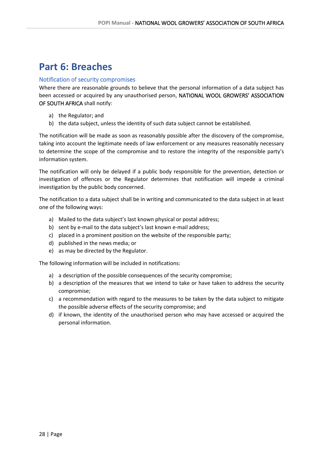### <span id="page-27-0"></span>**Part 6: Breaches**

#### <span id="page-27-1"></span>Notification of security compromises

Where there are reasonable grounds to believe that the personal information of a data subject has been accessed or acquired by any unauthorised person, NATIONAL WOOL GROWERS' ASSOCIATION OF SOUTH AFRICA shall notify:

- a) the Regulator; and
- b) the data subject, unless the identity of such data subject cannot be established.

The notification will be made as soon as reasonably possible after the discovery of the compromise, taking into account the legitimate needs of law enforcement or any measures reasonably necessary to determine the scope of the compromise and to restore the integrity of the responsible party's information system.

The notification will only be delayed if a public body responsible for the prevention, detection or investigation of offences or the Regulator determines that notification will impede a criminal investigation by the public body concerned.

The notification to a data subject shall be in writing and communicated to the data subject in at least one of the following ways:

- a) Mailed to the data subject's last known physical or postal address;
- b) sent by e-mail to the data subject's last known e-mail address;
- c) placed in a prominent position on the website of the responsible party;
- d) published in the news media; or
- e) as may be directed by the Regulator.

The following information will be included in notifications:

- a) a description of the possible consequences of the security compromise;
- b) a description of the measures that we intend to take or have taken to address the security compromise;
- c) a recommendation with regard to the measures to be taken by the data subject to mitigate the possible adverse effects of the security compromise; and
- d) if known, the identity of the unauthorised person who may have accessed or acquired the personal information.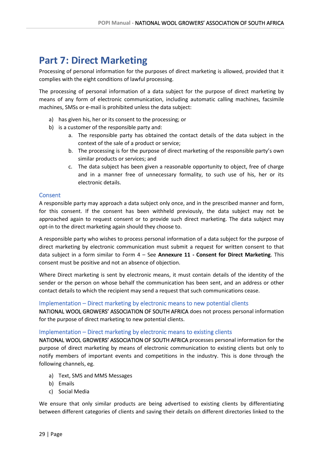### <span id="page-28-0"></span>**Part 7: Direct Marketing**

Processing of personal information for the purposes of direct marketing is allowed, provided that it complies with the eight conditions of lawful processing.

The processing of personal information of a data subject for the purpose of direct marketing by means of any form of electronic communication, including automatic calling machines, facsimile machines, SMSs or e-mail is prohibited unless the data subject:

- a) has given his, her or its consent to the processing; or
- b) is a customer of the responsible party and:
	- a. The responsible party has obtained the contact details of the data subject in the context of the sale of a product or service;
	- b. The processing is for the purpose of direct marketing of the responsible party's own similar products or services; and
	- c. The data subject has been given a reasonable opportunity to object, free of charge and in a manner free of unnecessary formality, to such use of his, her or its electronic details.

#### <span id="page-28-1"></span>Consent

A responsible party may approach a data subject only once, and in the prescribed manner and form, for this consent. If the consent has been withheld previously, the data subject may not be approached again to request consent or to provide such direct marketing. The data subject may opt-in to the direct marketing again should they choose to.

A responsible party who wishes to process personal information of a data subject for the purpose of direct marketing by electronic communication must submit a request for written consent to that data subject in a form similar to Form 4 – See **Annexure 11 - Consent for Direct Marketing**. This consent must be positive and not an absence of objection.

Where Direct marketing is sent by electronic means, it must contain details of the identity of the sender or the person on whose behalf the communication has been sent, and an address or other contact details to which the recipient may send a request that such communications cease.

#### <span id="page-28-2"></span>Implementation – Direct marketing by electronic means to new potential clients

NATIONAL WOOL GROWERS' ASSOCIATION OF SOUTH AFRICA does not process personal information for the purpose of direct marketing to new potential clients.

#### <span id="page-28-3"></span>Implementation – Direct marketing by electronic means to existing clients

NATIONAL WOOL GROWERS' ASSOCIATION OF SOUTH AFRICA processes personal information for the purpose of direct marketing by means of electronic communication to existing clients but only to notify members of important events and competitions in the industry. This is done through the following channels, eg.

- a) Text, SMS and MMS Messages
- b) Emails
- c) Social Media

We ensure that only similar products are being advertised to existing clients by differentiating between different categories of clients and saving their details on different directories linked to the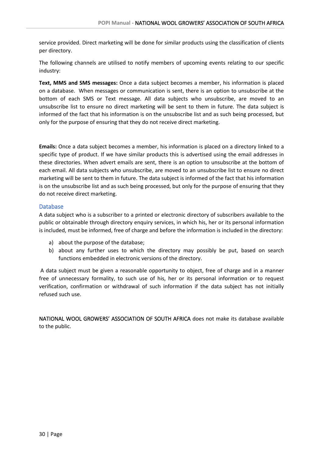service provided. Direct marketing will be done for similar products using the classification of clients per directory.

The following channels are utilised to notify members of upcoming events relating to our specific industry:

**Text, MMS and SMS messages:** Once a data subject becomes a member, his information is placed on a database. When messages or communication is sent, there is an option to unsubscribe at the bottom of each SMS or Text message. All data subjects who unsubscribe, are moved to an unsubscribe list to ensure no direct marketing will be sent to them in future. The data subject is informed of the fact that his information is on the unsubscribe list and as such being processed, but only for the purpose of ensuring that they do not receive direct marketing.

**Emails:** Once a data subject becomes a member, his information is placed on a directory linked to a specific type of product. If we have similar products this is advertised using the email addresses in these directories. When advert emails are sent, there is an option to unsubscribe at the bottom of each email. All data subjects who unsubscribe, are moved to an unsubscribe list to ensure no direct marketing will be sent to them in future. The data subject is informed of the fact that his information is on the unsubscribe list and as such being processed, but only for the purpose of ensuring that they do not receive direct marketing.

#### <span id="page-29-0"></span>Database

A data subject who is a subscriber to a printed or electronic directory of subscribers available to the public or obtainable through directory enquiry services, in which his, her or its personal information is included, must be informed, free of charge and before the information is included in the directory:

- a) about the purpose of the database;
- b) about any further uses to which the directory may possibly be put, based on search functions embedded in electronic versions of the directory.

A data subject must be given a reasonable opportunity to object, free of charge and in a manner free of unnecessary formality, to such use of his, her or its personal information or to request verification, confirmation or withdrawal of such information if the data subject has not initially refused such use.

NATIONAL WOOL GROWERS' ASSOCIATION OF SOUTH AFRICA does not make its database available to the public.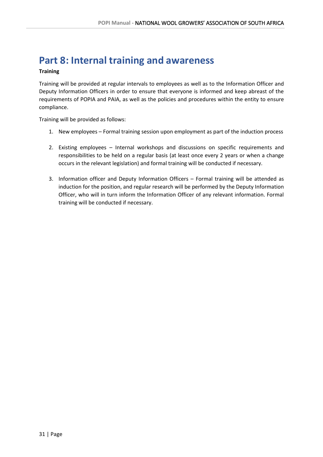### <span id="page-30-0"></span>**Part 8: Internal training and awareness**

#### **Training**

Training will be provided at regular intervals to employees as well as to the Information Officer and Deputy Information Officers in order to ensure that everyone is informed and keep abreast of the requirements of POPIA and PAIA, as well as the policies and procedures within the entity to ensure compliance.

Training will be provided as follows:

- 1. New employees Formal training session upon employment as part of the induction process
- 2. Existing employees Internal workshops and discussions on specific requirements and responsibilities to be held on a regular basis (at least once every 2 years or when a change occurs in the relevant legislation) and formal training will be conducted if necessary.
- 3. Information officer and Deputy Information Officers Formal training will be attended as induction for the position, and regular research will be performed by the Deputy Information Officer, who will in turn inform the Information Officer of any relevant information. Formal training will be conducted if necessary.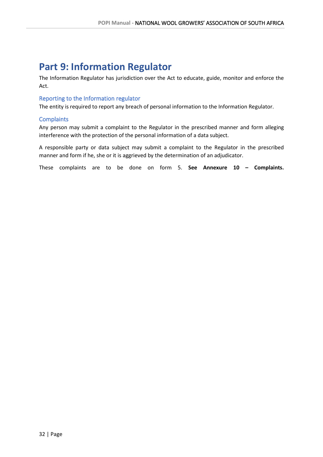### <span id="page-31-0"></span>**Part 9: Information Regulator**

The Information Regulator has jurisdiction over the Act to educate, guide, monitor and enforce the Act.

#### <span id="page-31-1"></span>Reporting to the Information regulator

The entity is required to report any breach of personal information to the Information Regulator.

#### <span id="page-31-2"></span>**Complaints**

Any person may submit a complaint to the Regulator in the prescribed manner and form alleging interference with the protection of the personal information of a data subject.

A responsible party or data subject may submit a complaint to the Regulator in the prescribed manner and form if he, she or it is aggrieved by the determination of an adjudicator.

These complaints are to be done on form 5. **See Annexure 10 – Complaints.**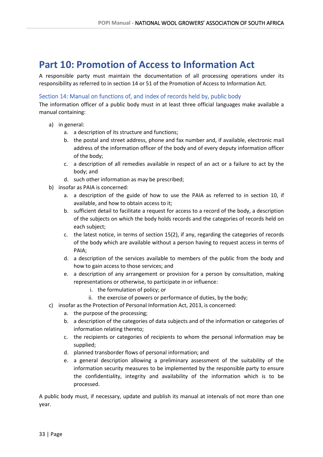### <span id="page-32-0"></span>**Part 10: Promotion of Access to Information Act**

A responsible party must maintain the documentation of all processing operations under its responsibility as referred to in section 14 or 51 of the Promotion of Access to Information Act.

#### <span id="page-32-1"></span>Section 14: Manual on functions of, and index of records held by, public body

The information officer of a public body must in at least three official languages make available a manual containing:

- a) in general:
	- a. a description of its structure and functions;
	- b. the postal and street address, phone and fax number and, if available, electronic mail address of the information officer of the body and of every deputy information officer of the body;
	- c. a description of all remedies available in respect of an act or a failure to act by the body; and
	- d. such other information as may be prescribed;
- b) insofar as PAIA is concerned:
	- a. a description of the guide of how to use the PAIA as referred to in section 10, if available, and how to obtain access to it;
	- b. sufficient detail to facilitate a request for access to a record of the body, a description of the subjects on which the body holds records and the categories of records held on each subject;
	- c. the latest notice, in terms of section 15(2), if any, regarding the categories of records of the body which are available without a person having to request access in terms of PAIA;
	- d. a description of the services available to members of the public from the body and how to gain access to those services; and
	- e. a description of any arrangement or provision for a person by consultation, making representations or otherwise, to participate in or influence:
		- i. the formulation of policy; or
		- ii. the exercise of powers or performance of duties, by the body;
- c) insofar as the Protection of Personal Information Act, 2013, is concerned:
	- a. the purpose of the processing;
	- b. a description of the categories of data subjects and of the information or categories of information relating thereto;
	- c. the recipients or categories of recipients to whom the personal information may be supplied;
	- d. planned transborder flows of personal information; and
	- e. a general description allowing a preliminary assessment of the suitability of the information security measures to be implemented by the responsible party to ensure the confidentiality, integrity and availability of the information which is to be processed.

A public body must, if necessary, update and publish its manual at intervals of not more than one year.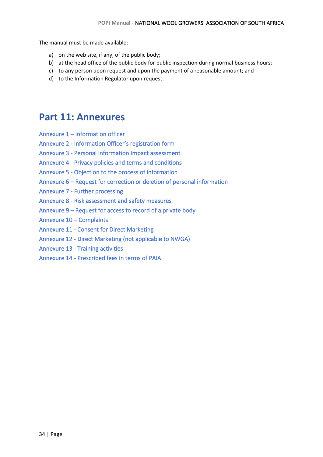The manual must be made available:

- a) on the web site, if any, of the public body;
- b) at the head office of the public body for public inspection during normal business hours;
- c) to any person upon request and upon the payment of a reasonable amount; and
- <span id="page-33-0"></span>d) to the Information Regulator upon request.

### **Part 11: Annexures**

- Annexure 1 Information officer
- Annexure 2 Information Officer's registration form
- Annexure 3 Personal information Impact assessment
- Annexure 4 Privacy policies and terms and conditions
- Annexure 5 Objection to the process of information
- Annexure 6 Request for correction or deletion of personal information
- Annexure 7 Further processing
- Annexure 8 Risk assessment and safety measures
- Annexure 9 Request for access to record of a private body
- Annexure 10 Complaints
- Annexure 11 Consent for Direct Marketing
- Annexure 12 Direct Marketing (not applicable to NWGA)
- Annexure 13 Training activities
- Annexure 14 Prescribed fees in terms of PAIA